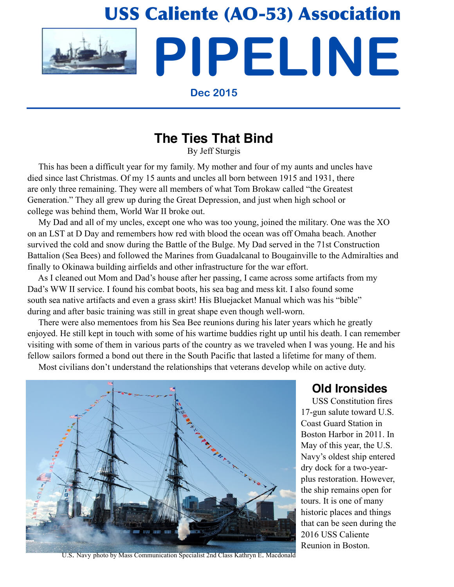# USS Caliente (AO-53) Association

**PIPELINE**



**Dec 2015**

## **The Ties That Bind**

By Jeff Sturgis

 This has been a difficult year for my family. My mother and four of my aunts and uncles have died since last Christmas. Of my 15 aunts and uncles all born between 1915 and 1931, there are only three remaining. They were all members of what Tom Brokaw called "the Greatest Generation." They all grew up during the Great Depression, and just when high school or college was behind them, World War II broke out.

 My Dad and all of my uncles, except one who was too young, joined the military. One was the XO on an LST at D Day and remembers how red with blood the ocean was off Omaha beach. Another survived the cold and snow during the Battle of the Bulge. My Dad served in the 71st Construction Battalion (Sea Bees) and followed the Marines from Guadalcanal to Bougainville to the Admiralties and finally to Okinawa building airfields and other infrastructure for the war effort.

 As I cleaned out Mom and Dad's house after her passing, I came across some artifacts from my Dad's WW II service. I found his combat boots, his sea bag and mess kit. I also found some south sea native artifacts and even a grass skirt! His Bluejacket Manual which was his "bible" during and after basic training was still in great shape even though well-worn.

 There were also mementoes from his Sea Bee reunions during his later years which he greatly enjoyed. He still kept in touch with some of his wartime buddies right up until his death. I can remember visiting with some of them in various parts of the country as we traveled when I was young. He and his fellow sailors formed a bond out there in the South Pacific that lasted a lifetime for many of them.

Most civilians don't understand the relationships that veterans develop while on active duty.



U.S. Navy photo by Mass Communication Specialist 2nd Class Kathryn E. Macdonald

### **Old Ironsides**

 USS Constitution fires 17-gun salute toward U.S. Coast Guard Station in Boston Harbor in 2011. In May of this year, the U.S. Navy's oldest ship entered dry dock for a two-yearplus restoration. However, the ship remains open for tours. It is one of many historic places and things that can be seen during the 2016 USS Caliente Reunion in Boston.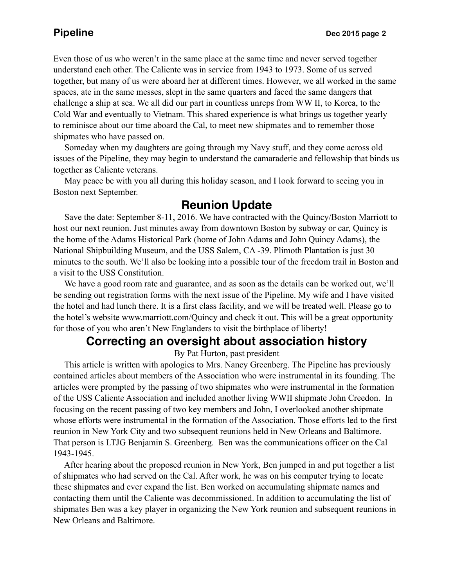Even those of us who weren't in the same place at the same time and never served together understand each other. The Caliente was in service from 1943 to 1973. Some of us served together, but many of us were aboard her at different times. However, we all worked in the same spaces, ate in the same messes, slept in the same quarters and faced the same dangers that challenge a ship at sea. We all did our part in countless unreps from WW II, to Korea, to the Cold War and eventually to Vietnam. This shared experience is what brings us together yearly to reminisce about our time aboard the Cal, to meet new shipmates and to remember those shipmates who have passed on.

 Someday when my daughters are going through my Navy stuff, and they come across old issues of the Pipeline, they may begin to understand the camaraderie and fellowship that binds us together as Caliente veterans.

 May peace be with you all during this holiday season, and I look forward to seeing you in Boston next September.

### **Reunion Update**

 Save the date: September 8-11, 2016. We have contracted with the Quincy/Boston Marriott to host our next reunion. Just minutes away from downtown Boston by subway or car, Quincy is the home of the Adams Historical Park (home of John Adams and John Quincy Adams), the National Shipbuilding Museum, and the USS Salem, CA -39. Plimoth Plantation is just 30 minutes to the south. We'll also be looking into a possible tour of the freedom trail in Boston and a visit to the USS Constitution.

We have a good room rate and guarantee, and as soon as the details can be worked out, we'll be sending out registration forms with the next issue of the Pipeline. My wife and I have visited the hotel and had lunch there. It is a first class facility, and we will be treated well. Please go to the hotel's website www.marriott.com/Quincy and check it out. This will be a great opportunity for those of you who aren't New Englanders to visit the birthplace of liberty!

### **Correcting an oversight about association history**

By Pat Hurton, past president

 This article is written with apologies to Mrs. Nancy Greenberg. The Pipeline has previously contained articles about members of the Association who were instrumental in its founding. The articles were prompted by the passing of two shipmates who were instrumental in the formation of the USS Caliente Association and included another living WWII shipmate John Creedon. In focusing on the recent passing of two key members and John, I overlooked another shipmate whose efforts were instrumental in the formation of the Association. Those efforts led to the first reunion in New York City and two subsequent reunions held in New Orleans and Baltimore. That person is LTJG Benjamin S. Greenberg. Ben was the communications officer on the Cal 1943-1945.

 After hearing about the proposed reunion in New York, Ben jumped in and put together a list of shipmates who had served on the Cal. After work, he was on his computer trying to locate these shipmates and ever expand the list. Ben worked on accumulating shipmate names and contacting them until the Caliente was decommissioned. In addition to accumulating the list of shipmates Ben was a key player in organizing the New York reunion and subsequent reunions in New Orleans and Baltimore.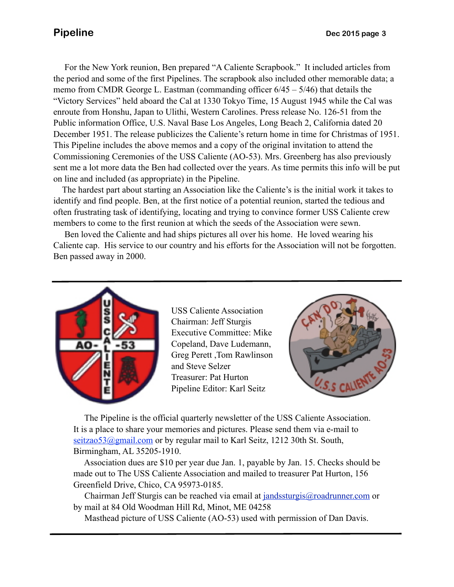December 1951. The release publicizes the Caliente's return home in time for Christmas of 1951. For the New York reunion, Ben prepared "A Caliente Scrapbook." It included articles from the period and some of the first Pipelines. The scrapbook also included other memorable data; a memo from CMDR George L. Eastman (commanding officer 6/45 – 5/46) that details the "Victory Services" held aboard the Cal at 1330 Tokyo Time, 15 August 1945 while the Cal was enroute from Honshu, Japan to Ulithi, Western Carolines. Press release No. 126-51 from the Public information Office, U.S. Naval Base Los Angeles, Long Beach 2, California dated 20 This Pipeline includes the above memos and a copy of the original invitation to attend the Commissioning Ceremonies of the USS Caliente (AO-53). Mrs. Greenberg has also previously sent me a lot more data the Ben had collected over the years. As time permits this info will be put on line and included (as appropriate) in the Pipeline.

 The hardest part about starting an Association like the Caliente's is the initial work it takes to identify and find people. Ben, at the first notice of a potential reunion, started the tedious and often frustrating task of identifying, locating and trying to convince former USS Caliente crew members to come to the first reunion at which the seeds of the Association were sewn.

 Ben loved the Caliente and had ships pictures all over his home. He loved wearing his Caliente cap. His service to our country and his efforts for the Association will not be forgotten. Ben passed away in 2000.



USS Caliente Association Chairman: Jeff Sturgis Executive Committee: Mike Copeland, Dave Ludemann, Greg Perett ,Tom Rawlinson and Steve Selzer Treasurer: Pat Hurton Pipeline Editor: Karl Seitz



 The Pipeline is the official quarterly newsletter of the USS Caliente Association. It is a place to share your memories and pictures. Please send them via e-mail to seitzao53@gmail.com or by regular mail to Karl Seitz, 1212 30th St. South, Birmingham, AL 35205-1910.

 Association dues are \$10 per year due Jan. 1, payable by Jan. 15. Checks should be made out to The USS Caliente Association and mailed to treasurer Pat Hurton, 156 Greenfield Drive, Chico, CA 95973-0185.

 Chairman Jeff Sturgis can be reached via email at [jandssturgis@roadrunner.com](mailto:jandssturgis@roadrunner.com) or by mail at 84 Old Woodman Hill Rd, Minot, ME 04258

Masthead picture of USS Caliente (AO-53) used with permission of Dan Davis.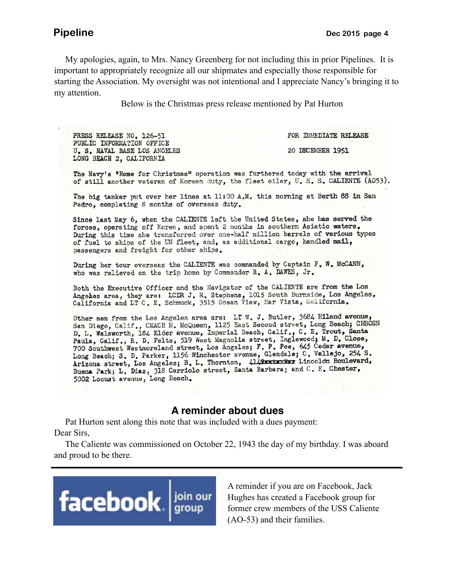My apologies, again, to Mrs. Nancy Greenberg for not including this in prior Pipelines. It is important to appropriately recognize all our shipmates and especially those responsible for starting the Association. My oversight was not intentional and I appreciate Nancy's bringing it to my attention.

Below is the Christmas press release mentioned by Pat Hurton

PRESS RELEASE NO. 126-51 PUBLIC INFORMATION OFFICE U. S. NAVAL BASE LOS ANGELES LONG BEACH 2, CALIFORNIA

FOR IMMEDIATE RELEASE

20 DECEMBER 1951

The Navy's "Home for Christmas" operation was furthered today with the arrival of still another veteran of Korean duty, the fleet oiler, U.S.S. CALIENTE (A053).

The big tanker put over her lines at 11:00 A.M. this morning at Berth 88 in San Pedro, completing 8 months of overseas duty.

Since last May 6, when the CALIENTE left the United States, she has served the forces, operating off Korea, and spent 2 months in southern Asiatic waters. During this time she transferred over one-half million barrels of various types of fuel to ships of the UN fleet, and, as additional cargo, handled mail, passengers and freight for other ships.

During her tour overseas the CALIENTE was commanded by Captain F. W. McCANN, who was relieved on the trip home by Commander R. A. DAWES, Jr.

Both the Executive Officer and the Navigator of the CALIENTE are from the Los Angeles area, they are: LCDR J. R. Stephens, 1015 South Burnside, Los Angeles, California and LT C. E. Schmuck, 3515 Ocean View, Mar Vista, California.

Other men from the Los Angeles area are: LT W. J. Butler, 3684 Hiland avenue,<br>San Diego, Calif., CMACH M. McQueen, 1125 East Second street, Long Beach; CHBOSN D. L. Walsworth, 184 Elder avenue, Imperial Beach, Calif., C. E. Trout, Santa Paula, Calif., R. D. Felts, 519 West Magnolia street, Inglewood; M. D. Close, 700 Southwest Westmoreland street, Los Angeles; F. P. Poe, 645 Cedar avenue, Long Beach; S. D. Parker, 1156 Winchester avenue, Glendale; C. Vallejo, 254 S. Arizona street, Los Angeles; B. L. Thornton, 414SERIERE Lincoldn Boulevard, Buena Park; L. Diaz, 318 Carriolo street, Santa Barbara; and C. E. Chester, 5002 Locust avenue, Long Beach.

### **A reminder about dues**

 Pat Hurton sent along this note that was included with a dues payment: Dear Sirs,

 The Caliente was commissioned on October 22, 1943 the day of my birthday. I was aboard and proud to be there.



A reminder if you are on Facebook, Jack Hughes has created a Facebook group for former crew members of the USS Caliente (AO-53) and their families.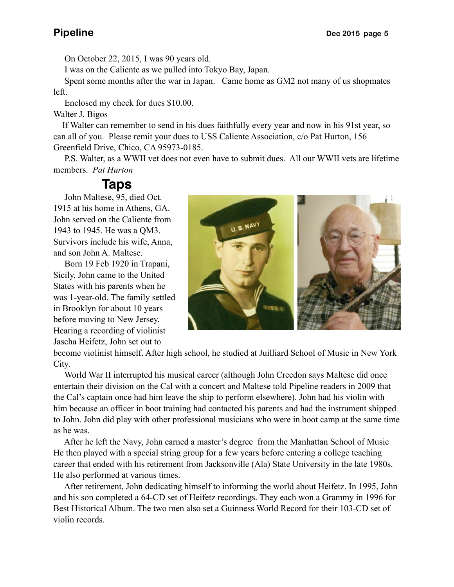On October 22, 2015, I was 90 years old.

I was on the Caliente as we pulled into Tokyo Bay, Japan.

 Spent some months after the war in Japan. Came home as GM2 not many of us shopmates left.

Enclosed my check for dues \$10.00.

Walter J. Bigos

 If Walter can remember to send in his dues faithfully every year and now in his 91st year, so can all of you. Please remit your dues to USS Caliente Association, c/o Pat Hurton, 156 Greenfield Drive, Chico, CA 95973-0185.

 P.S. Walter, as a WWII vet does not even have to submit dues. All our WWII vets are lifetime members. *Pat Hurton*

### **Taps**

 John Maltese, 95, died Oct. 1915 at his home in Athens, GA. John served on the Caliente from 1943 to 1945. He was a QM3. Survivors include his wife, Anna, and son John A. Maltese.

 Born 19 Feb 1920 in Trapani, Sicily, John came to the United States with his parents when he was 1-year-old. The family settled in Brooklyn for about 10 years before moving to New Jersey. Hearing a recording of violinist Jascha Heifetz, John set out to



become violinist himself. After high school, he studied at Juilliard School of Music in New York City.

 World War II interrupted his musical career (although John Creedon says Maltese did once entertain their division on the Cal with a concert and Maltese told Pipeline readers in 2009 that the Cal's captain once had him leave the ship to perform elsewhere). John had his violin with him because an officer in boot training had contacted his parents and had the instrument shipped to John. John did play with other professional musicians who were in boot camp at the same time as he was.

 After he left the Navy, John earned a master's degree from the Manhattan School of Music He then played with a special string group for a few years before entering a college teaching career that ended with his retirement from Jacksonville (Ala) State University in the late 1980s. He also performed at various times.

 After retirement, John dedicating himself to informing the world about Heifetz. In 1995, John and his son completed a 64-CD set of Heifetz recordings. They each won a Grammy in 1996 for Best Historical Album. The two men also set a Guinness World Record for their 103-CD set of violin records.